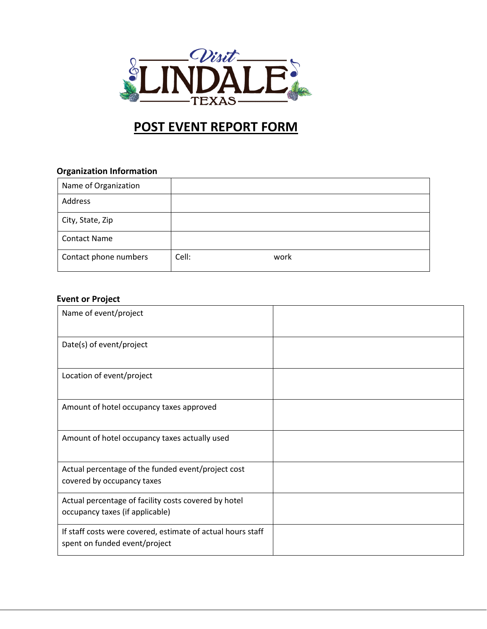

## **POST EVENT REPORT FORM**

## **Organization Information**

| Name of Organization  |       |      |
|-----------------------|-------|------|
| Address               |       |      |
| City, State, Zip      |       |      |
| <b>Contact Name</b>   |       |      |
| Contact phone numbers | Cell: | work |

## **Event or Project**

| Name of event/project                                                                        |  |
|----------------------------------------------------------------------------------------------|--|
| Date(s) of event/project                                                                     |  |
| Location of event/project                                                                    |  |
| Amount of hotel occupancy taxes approved                                                     |  |
| Amount of hotel occupancy taxes actually used                                                |  |
| Actual percentage of the funded event/project cost<br>covered by occupancy taxes             |  |
| Actual percentage of facility costs covered by hotel<br>occupancy taxes (if applicable)      |  |
| If staff costs were covered, estimate of actual hours staff<br>spent on funded event/project |  |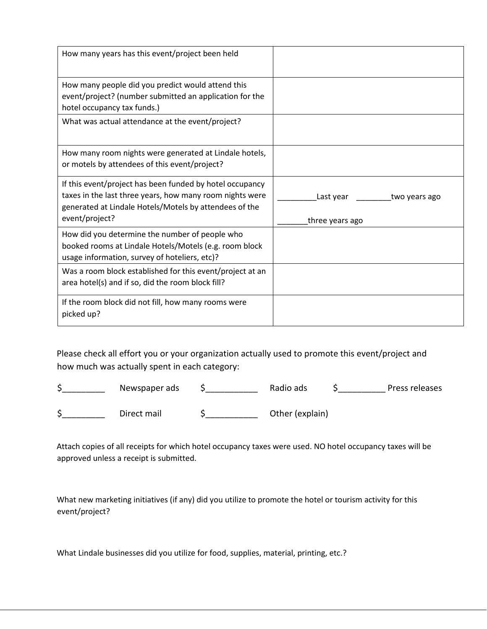| How many years has this event/project been held                                                                                                                                                  |                                               |
|--------------------------------------------------------------------------------------------------------------------------------------------------------------------------------------------------|-----------------------------------------------|
| How many people did you predict would attend this<br>event/project? (number submitted an application for the<br>hotel occupancy tax funds.)                                                      |                                               |
| What was actual attendance at the event/project?                                                                                                                                                 |                                               |
| How many room nights were generated at Lindale hotels,<br>or motels by attendees of this event/project?                                                                                          |                                               |
| If this event/project has been funded by hotel occupancy<br>taxes in the last three years, how many room nights were<br>generated at Lindale Hotels/Motels by attendees of the<br>event/project? | Last year<br>two years ago<br>three years ago |
| How did you determine the number of people who<br>booked rooms at Lindale Hotels/Motels (e.g. room block<br>usage information, survey of hoteliers, etc)?                                        |                                               |
| Was a room block established for this event/project at an<br>area hotel(s) and if so, did the room block fill?                                                                                   |                                               |
| If the room block did not fill, how many rooms were<br>picked up?                                                                                                                                |                                               |

Please check all effort you or your organization actually used to promote this event/project and how much was actually spent in each category:

| Newspaper ads | Radio ads       | Press releases |
|---------------|-----------------|----------------|
| Direct mail   | Other (explain) |                |

Attach copies of all receipts for which hotel occupancy taxes were used. NO hotel occupancy taxes will be approved unless a receipt is submitted.

What new marketing initiatives (if any) did you utilize to promote the hotel or tourism activity for this event/project?

What Lindale businesses did you utilize for food, supplies, material, printing, etc.?